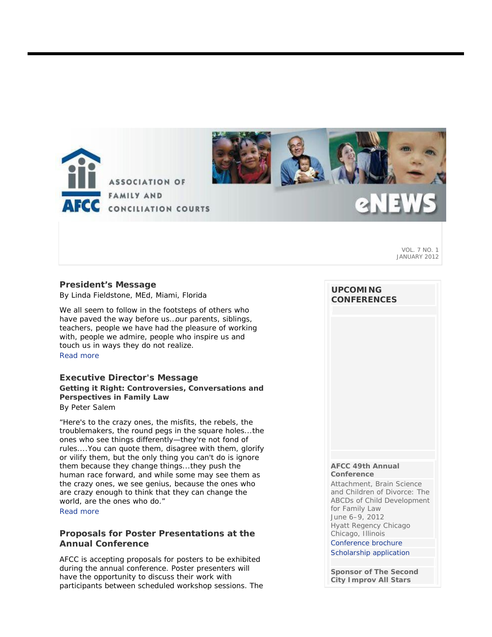



#### VOL. 7 NO. 1 JANUARY 2012

### **President's Message**

*By Linda Fieldstone, MEd, Miami, Florida* 

We all seem to follow in the footsteps of others who have paved the way before us…our parents, siblings, teachers, people we have had the pleasure of working with, people we admire, people who inspire us and touch us in ways they do not realize. Read more

### **Executive Director's Message**

# **Getting it Right: Controversies, Conversations and Perspectives in Family Law**

*By Peter Salem* 

*"Here's to the crazy ones, the misfits, the rebels, the troublemakers, the round pegs in the square holes...the ones who see things differently—they're not fond of rules....You can quote them, disagree with them, glorify or vilify them, but the only thing you can't do is ignore them because they change things...they push the human race forward, and while some may see them as the crazy ones, we see genius, because the ones who are crazy enough to think that they can change the world, are the ones who do."*  Read more

### **Proposals for Poster Presentations at the Annual Conference**

AFCC is accepting proposals for posters to be exhibited during the annual conference. Poster presenters will have the opportunity to discuss their work with participants between scheduled workshop sessions. The

### **UPCOMING CONFERENCES**

### **AFCC 49th Annual Conference**

*Attachment, Brain Science and Children of Divorce: The ABCDs of Child Development for Family Law*  June 6–9, 2012 Hyatt Regency Chicago Chicago, Illinois

Conference brochure Scholarship application

**Sponsor of The Second City Improv All Stars**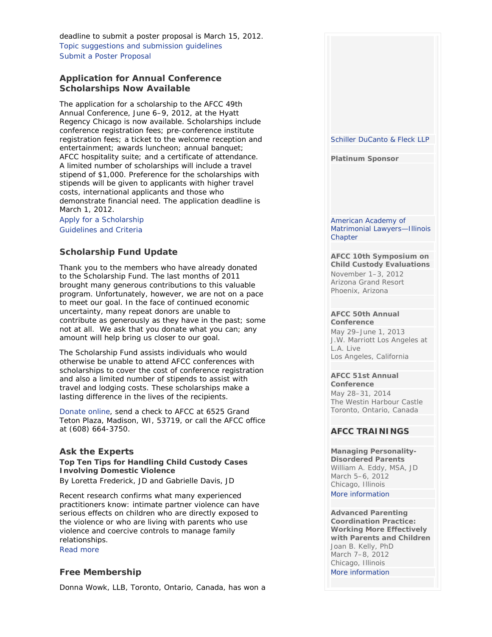deadline to submit a poster proposal is March 15, 2012. Topic suggestions and submission guidelines Submit a Poster Proposal

### **Application for Annual Conference Scholarships Now Available**

The application for a scholarship to the AFCC 49th Annual Conference, June 6–9, 2012, at the Hyatt Regency Chicago is now available. Scholarships include conference registration fees; pre-conference institute registration fees; a ticket to the welcome reception and entertainment; awards luncheon; annual banquet; AFCC hospitality suite; and a certificate of attendance. A limited number of scholarships will include a travel stipend of \$1,000. Preference for the scholarships with stipends will be given to applicants with higher travel costs, international applicants and those who demonstrate financial need. The application deadline is March 1, 2012.

Apply for a Scholarship Guidelines and Criteria

# **Scholarship Fund Update**

Thank you to the members who have already donated to the Scholarship Fund. The last months of 2011 brought many generous contributions to this valuable program. Unfortunately, however, we are not on a pace to meet our goal. In the face of continued economic uncertainty, many repeat donors are unable to contribute as generously as they have in the past; some not at all. We ask that you donate what you can; any amount will help bring us closer to our goal.

The Scholarship Fund assists individuals who would otherwise be unable to attend AFCC conferences with scholarships to cover the cost of conference registration and also a limited number of stipends to assist with travel and lodging costs. These scholarships make a lasting difference in the lives of the recipients.

Donate online, send a check to AFCC at 6525 Grand Teton Plaza, Madison, WI, 53719, or call the AFCC office at (608) 664-3750.

# **Ask the Experts Top Ten Tips for Handling Child Custody Cases Involving Domestic Violence**

*By Loretta Frederick, JD and Gabrielle Davis, JD*

Recent research confirms what many experienced practitioners know: intimate partner violence can have serious effects on children who are directly exposed to the violence or who are living with parents who use violence and coercive controls to manage family relationships.

Read more

# **Free Membership**

Donna Wowk, LLB, Toronto, Ontario, Canada, has won a

### Schiller DuCanto & Fleck LLP

**Platinum Sponsor** 

### American Academy of Matrimonial Lawyers—Illinois **Chapter**

**AFCC 10th Symposium on Child Custody Evaluations** November 1–3, 2012 Arizona Grand Resort Phoenix, Arizona

#### **AFCC 50th Annual Conference**

May 29–June 1, 2013 J.W. Marriott Los Angeles at L.A. Live Los Angeles, California

### **AFCC 51st Annual Conference**

May 28–31, 2014 The Westin Harbour Castle Toronto, Ontario, Canada

# **AFCC TRAININGS**

*Managing Personality-Disordered Parents* William A. Eddy, MSA, JD March 5–6, 2012 Chicago, Illinois More information

**Advanced Parenting Coordination Practice: Working More Effectively with Parents and Children**  Joan B. Kelly, PhD March 7–8, 2012 Chicago, Illinois More information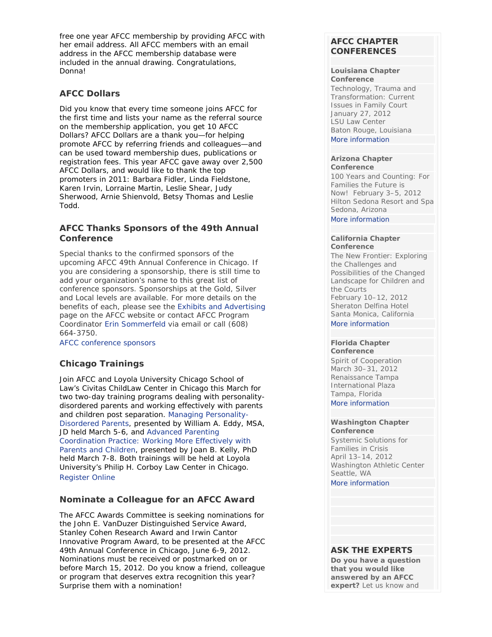free one year AFCC membership by providing AFCC with her email address. All AFCC members with an email address in the AFCC membership database were included in the annual drawing. Congratulations, Donna!

# **AFCC Dollars**

Did you know that every time someone joins AFCC for the first time and lists your name as the referral source on the membership application, you get 10 AFCC Dollars? AFCC Dollars are a thank you—for helping promote AFCC by referring friends and colleagues—and can be used toward membership dues, publications or registration fees. This year AFCC gave away over 2,500 AFCC Dollars, and would like to thank the top promoters in 2011: Barbara Fidler, Linda Fieldstone, Karen Irvin, Lorraine Martin, Leslie Shear, Judy Sherwood, Arnie Shienvold, Betsy Thomas and Leslie Todd.

# **AFCC Thanks Sponsors of the 49th Annual Conference**

Special thanks to the confirmed sponsors of the upcoming AFCC 49th Annual Conference in Chicago. If you are considering a sponsorship, there is still time to add your organization's name to this great list of conference sponsors. Sponsorships at the Gold, Silver and Local levels are available. For more details on the benefits of each, please see the Exhibits and Advertising page on the AFCC website or contact AFCC Program Coordinator Erin Sommerfeld via email or call (608) 664-3750.

AFCC conference sponsors

# **Chicago Trainings**

Join AFCC and Loyola University Chicago School of Law's Civitas ChildLaw Center in Chicago this March for two two-day training programs dealing with personalitydisordered parents and working effectively with parents and children post separation. Managing Personality-Disordered Parents, presented by William A. Eddy, MSA, JD held March 5-6, and Advanced Parenting Coordination Practice: Working More Effectively with Parents and Children, presented by Joan B. Kelly, PhD held March 7-8. Both trainings will be held at Loyola University's Philip H. Corboy Law Center in Chicago. Register Online

# **Nominate a Colleague for an AFCC Award**

The AFCC Awards Committee is seeking nominations for the John E. VanDuzer Distinguished Service Award, Stanley Cohen Research Award and Irwin Cantor Innovative Program Award, to be presented at the AFCC 49th Annual Conference in Chicago, June 6-9, 2012. Nominations must be received or postmarked on or before March 15, 2012. Do you know a friend, colleague or program that deserves extra recognition this year? Surprise them with a nomination!

# **AFCC CHAPTER CONFERENCES**

#### **Louisiana Chapter Conference**

*Technology, Trauma and Transformation: Current Issues in Family Court*  January 27, 2012 LSU Law Center Baton Rouge, Louisiana More information

#### **Arizona Chapter Conference**

*100 Years and Counting: For Families the Future is Now!* February 3–5, 2012 Hilton Sedona Resort and Spa Sedona, Arizona

More information

### **California Chapter Conference**

*The New Frontier: Exploring the Challenges and Possibilities of the Changed Landscape for Children and the Courts* February 10–12, 2012 Sheraton Delfina Hotel Santa Monica, California

More information

#### **Florida Chapter Conference**

*Spirit of Cooperation* March 30–31, 2012 Renaissance Tampa International Plaza Tampa, Florida More information

#### **Washington Chapter Conference**

*Systemic Solutions for Families in Crisis*  April 13–14, 2012 Washington Athletic Center Seattle, WA

More information

### **ASK THE EXPERTS**

**Do you have a question that you would like answered by an AFCC expert?** Let us know and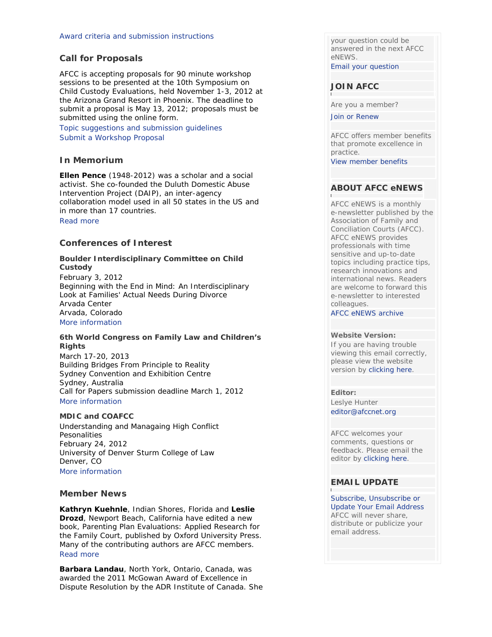# **Call for Proposals**

AFCC is accepting proposals for 90 minute workshop sessions to be presented at the 10th Symposium on Child Custody Evaluations, held November 1-3, 2012 at the Arizona Grand Resort in Phoenix. The deadline to submit a proposal is May 13, 2012; proposals must be submitted using the online form.

Topic suggestions and submission guidelines Submit a Workshop Proposal

# **In Memorium**

**Ellen Pence** (1948-2012) was a scholar and a social activist. She co-founded the Duluth Domestic Abuse Intervention Project (DAIP), an inter-agency collaboration model used in all 50 states in the US and in more than 17 countries. Read more

# **Conferences of Interest**

### **Boulder Interdisciplinary Committee on Child Custody**  February 3, 2012

*Beginning with the End in Mind: An Interdisciplinary Look at Families' Actual Needs During Divorce* Arvada Center Arvada, Colorado More information

### **6th World Congress on Family Law and Children's Rights**

March 17-20, 2013 *Building Bridges From Principle to Reality* Sydney Convention and Exhibition Centre Sydney, Australia Call for Papers submission deadline March 1, 2012 More information

### **MDIC and COAFCC**

*Understanding and Managaing High Conflict Pesonalities*  February 24, 2012 University of Denver Sturm College of Law Denver, CO More information

# **Member News**

**Kathryn Kuehnle**, Indian Shores, Florida and **Leslie Drozd**, Newport Beach, California have edited a new book, *Parenting Plan Evaluations: Applied Research for the Family Court*, published by Oxford University Press. Many of the contributing authors are AFCC members. Read more

**Barbara Landau**, North York, Ontario, Canada, was awarded the 2011 McGowan Award of Excellence in Dispute Resolution by the ADR Institute of Canada. She your question could be answered in the next *AFCC eNEWS*.

Email your question

# **JOIN AFCC**

Are you a member?

Join or Renew

AFCC offers member benefits that promote excellence in practice.

View member benefits

# **ABOUT AFCC eNEWS**

*AFCC eNEWS* is a monthly e-newsletter published by the Association of Family and Conciliation Courts (AFCC). *AFCC eNEWS* provides professionals with time sensitive and up-to-date topics including practice tips, research innovations and international news. Readers are welcome to forward this e-newsletter to interested colleagues.

AFCC eNEWS archive

### **Website Version:**

If you are having trouble viewing this email correctly, please view the website version by clicking here.

### **Editor:**

Leslye Hunter editor@afccnet.org

AFCC welcomes your comments, questions or feedback. Please email the editor by clicking here.

# **EMAIL UPDATE**

Subscribe, Unsubscribe or Update Your Email Address AFCC will never share, distribute or publicize your email address.